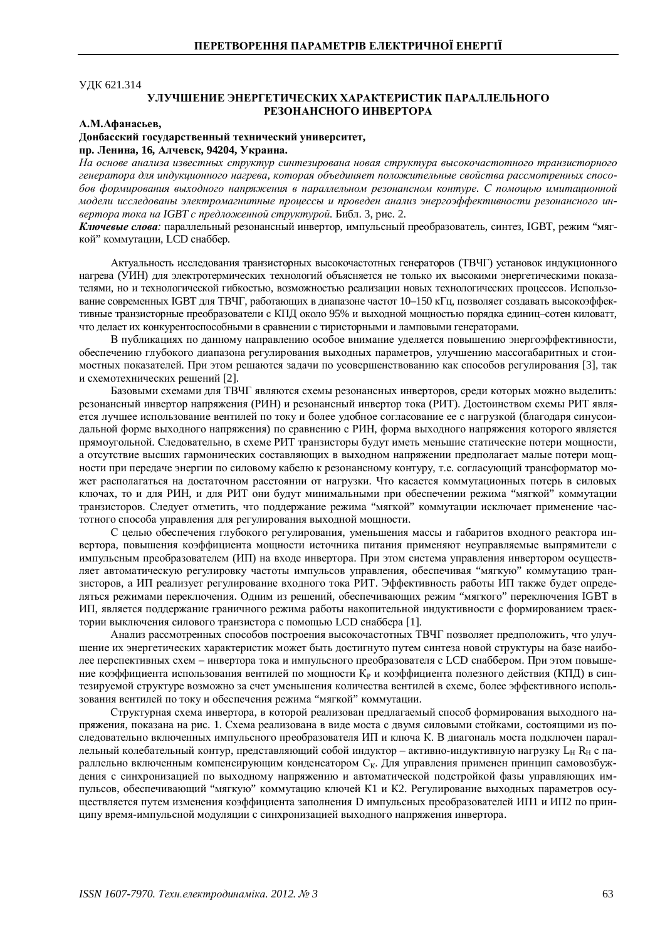**УДК 621.314** 

# УЛУЧШЕНИЕ ЭНЕРГЕТИЧЕСКИХ ХАРАКТЕРИСТИК ПАРАЛЛЕЛЬНОГО **РЕЗОНАНСНОГО ИНВЕРТОРА**

### **ȺɆȺɮɚɧɚɫɶɟɜ,**

## Донбасский государственный технический университет, пр. Ленина, 16, Алчевск, 94204, Украина.

На основе анализа известных структур синтезирована новая структура высокочастотного транзисторного генератора для индукционного нагрева, которая объединяет положительные свойства рассмотренных спосо**бов формирования выходного напряжения в параллельном резонансном контуре. С помощью имитационной** модели исследованы электромагнитные процессы и проведен анализ энергоэффективности резонансного ин- $\varepsilon$ ертора тока на IGBT с предложенной структурой. Библ. 3, рис. 2.

Ключевые слова: параллельный резонансный инвертор, импульсный преобразователь, синтез, IGBT, режим "мягкой" коммутации. LCD снаббер.

Актуальность исследования транзисторных высокочастотных генераторов (ТВЧГ) установок индукционного нагрева (УИН) для электротермических технологий объясняется не только их высокими энергетическими показателями, но и технологической гибкостью, возможностью реализации новых технологических процессов. Использование современных IGBT для ТВЧГ, работающих в диапазоне частот 10–150 кГц, позволяет создавать высокоэффективные транзисторные преобразователи с КПЛ около 95% и выходной мошностью порядка единиц-сотен киловатт. что делает их конкурентоспособными в сравнении с тиристорными и ламповыми генераторами.

В публикациях по данному направлению особое внимание уделяется повышению энергоэффективности, обеспечению глубокого диапазона регулирования выходных параметров, улучшению массогабаритных и стоимостных показателей. При этом решаются задачи по усовершенствованию как способов регулирования [3], так и схемотехнических решений [2].

Базовыми схемами для ТВЧГ являются схемы резонансных инверторов, среди которых можно выделить: резонансный инвертор напряжения (РИН) и резонансный инвертор тока (РИТ). Достоинством схемы РИТ является лучшее использование вентилей по току и более удобное согласование ее с нагрузкой (благодаря синусоидальной форме выходного напряжения) по сравнению с РИН, форма выходного напряжения которого является прямоугольной. Следовательно, в схеме РИТ транзисторы будут иметь меньшие статические потери мощности, а отсутствие высших гармонических составляющих в выходном напряжении предполагает малые потери мощности при передаче энергии по силовому кабелю к резонансному контуру, т.е. согласующий трансформатор может располагаться на достаточном расстоянии от нагрузки. Что касается коммутационных потерь в силовых ключах, то и для РИН, и для РИТ они будут минимальными при обеспечении режима "мягкой" коммутации транзисторов. Следует отметить, что поддержание режима "мягкой" коммутации исключает применение частотного способа управления для регулирования выходной мощности.

С целью обеспечения глубокого регулирования, уменьшения массы и габаритов входного реактора инвертора, повышения коэффициента мошности источника питания применяют неуправляемые выпрямители с импульсным преобразователем (ИП) на входе инвертора. При этом система управления инвертором осуществляет автоматическую регулировку частоты импульсов управления, обеспечивая "мягкую" коммутацию транзисторов, а ИП реализует регулирование входного тока РИТ. Эффективность работы ИП также будет определяться режимами переключения. Одним из решений, обеспечивающих режим "мягкого" переключения IGBT в ИП, является поддержание граничного режима работы накопительной индуктивности с формированием траектории выключения силового транзистора с помощью LCD снаббера [1].

Анализ рассмотренных способов построения высокочастотных ТВЧГ позволяет предположить, что улучшение их энергетических характеристик может быть достигнуто путем синтеза новой структуры на базе наиболее перспективных схем – инвертора тока и импульсного преобразователя с LCD снаббером. При этом повышение коэффициента использования вентилей по мощности К<sub>р</sub> и коэффициента полезного действия (КПД) в синтезируемой структуре возможно за счет уменьшения количества вентилей в схеме, более эффективного использования вентилей по току и обеспечения режима "мягкой" коммутации.

Структурная схема инвертора, в которой реализован предлагаемый способ формирования выходного напряжения, показана на рис. 1. Схема реализована в виде моста с двумя силовыми стойками, состоящими из последовательно включенных импульсного преобразователя ИП и ключа К. В диагональ моста подключен параллельный колебательный контур, представляющий собой индуктор – активно-индуктивную нагрузку L<sub>H</sub> R<sub>H</sub> с параллельно включенным компенсирующим конденсатором Ск. Для управления применен принцип самовозбуждения с синхронизацией по выходному напряжению и автоматической подстройкой фазы управляющих импульсов, обеспечивающий "мягкую" коммутацию ключей К1 и К2. Регулирование выходных параметров осуществляется путем изменения коэффициента заполнения D импульсных преобразователей ИП1 и ИП2 по принципу время-импульсной модуляции с синхронизацией выходного напряжения инвертора.